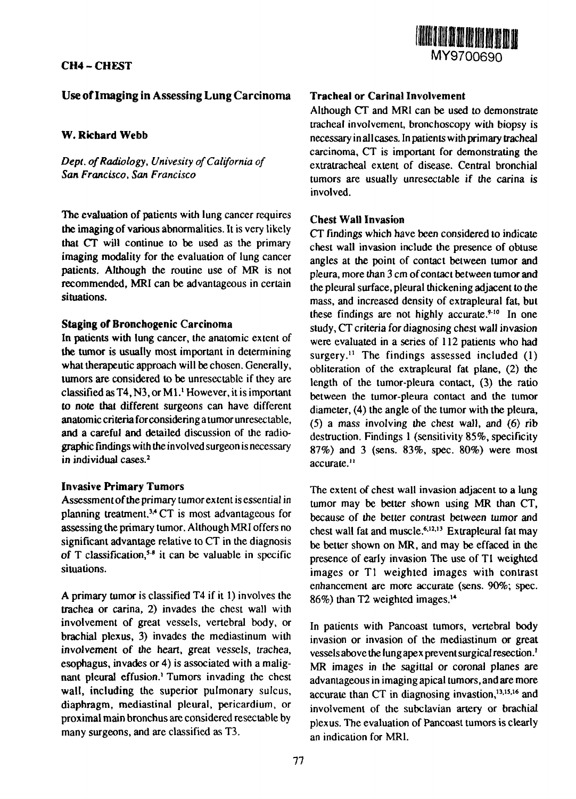# **CH4** - **CHEST**



# **Use of Imaging in Assessing Lung Carcinoma**

### **W. Richard Webb**

*Dept. of Radiology, Univesity of California of San Francisco, San Francisco*

The evaluation of patients with lung cancer requires **the** imaging of various abnormalities. It is very likely **that** CT will continue to be used as the primary imaging modality for the evaluation of lung cancer patients. Although the routine use of MR is not recommended, MRI can be advantageous in certain situations.

#### **Staging of Bronchogenic Carcinoma**

In patients with lung cancer, the anatomic extent of **the** tumor is usually most important in determining what therapeutic approach will be chosen. Generally, tumors are considered to be unresectable if they are classified as  $T4$ , N3, or M1.<sup>1</sup> However, it is important **to** note **that** different surgeons can have different anatomic criteria for considering a tumor unresectable, and **a** careful and detailed discussion of the radiographic findings with the involved surgeon is necessary in individual cases.<sup>2</sup>

### **Invasive Primary Tumors**

Assessment of the primary tumor extent is essential in planning treatment.<sup>34</sup> CT is most advantageous for assessing the primary tumor. Although MRI offers no significant advantage relative to CT in the diagnosis of T classification,<sup>5,8</sup> it can be valuable in specific situations.

A primary tumor is classified T4 if it 1) involves the trachea or carina, 2) invades the chest wall with involvement of great vessels, vertebral body, or brachial plexus, 3) invades the mediastinum with involvement of the heart, great vessels, trachea, esophagus, invades or 4) is associated with a malignant pleural effusion.<sup>1</sup> Tumors invading the chest wall, including the superior pulmonary sulcus, diaphragm, mediastinal pleural, pericardium, or proximal main bronchus are considered resectable by many surgeons, and are classified as T3.

### **Tracheal or Carinal Involvement**

Although CT and MRI can be used to demonstrate tracheal involvement, bronchoscopy with biopsy is necessary in all cases. In patients with primary tracheal carcinoma, CT is important for demonstrating the extratracheal extent of disease. Central bronchial tumors are usually unresectable if the carina is involved.

### **Chest Wall Invasion**

CT findings which have been considered to indicate chest wall invasion include the presence of obtuse angles at the point of contact between tumor and pleura, more than 3 cm of contact between tumor and the pleural surface, pleural thickening adjacent to the mass, and increased density of extrapleural fat, but these findings are not highly accurate.<sup>9-10</sup> In one study, CT criteria for diagnosing chest wall invasion were evaluated in a series of 112 patients who had surgery.<sup>11</sup> The findings assessed included (1) obliteration of the extrapleural fat plane, (2) the length of the tumor-pleura contact, (3) the ratio between the tumor-pleura contact and the tumor diameter, (4) the angle of the tumor with the pleura,  $(5)$  a mass involving the chest wall, and  $(6)$  rib destruction. Findings 1 (sensitivity 85%, specificity 87%) and 3 (sens. 83%, spec. 80%) were most accurate.<sup>11</sup>

The extent of chest wall invasion adjacent to a lung tumor may be better shown using MR than CT, because of the better contrast between tumor and chest wall fat and muscle.<sup>6,12,13</sup> Extrapleural fat may be better shown on MR, and may be effaced in the presence of early invasion The use of Tl weighted images or Tl weighted images with contrast enhancement are more accurate (sens. 90%; spec.  $86\%$ ) than T2 weighted images.<sup>14</sup>

In patients with Pancoast tumors, vertebral body invasion or invasion of the mediastinum or great vessels above the lung apex prevent surgical resection.<sup>1</sup> MR images in the sagittal or coronal planes are advantageous in imaging apical tumors, and are more accurate than CT in diagnosing invastion,<sup>13,15,16</sup> and involvement of the subclavian artery or brachial plexus. The evaluation of Pancoast tumors is clearly an indication for MRI.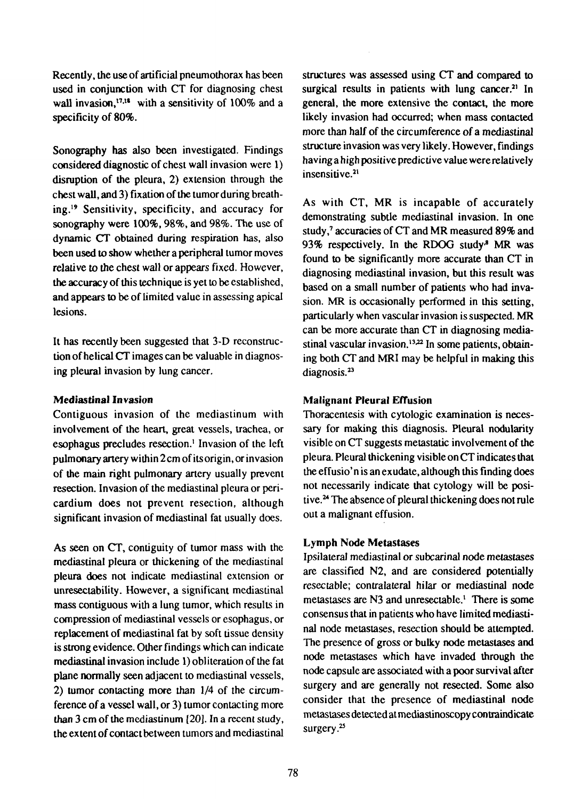Recently, the use of artificial pneumothorax has been used in conjunction with CT for diagnosing chest wall invasion,<sup>17,18</sup> with a sensitivity of  $100\%$  and a specificity of 80%.

Sonography has also been investigated. Findings considered diagnostic of chest wall invasion were 1) disruption of the pleura, 2) extension through the chest wall, and 3) fixation of the tumor during breathing.<sup>19</sup> Sensitivity, specificity, and accuracy for sonography were 100%, 98%, and 98%. The use of dynamic CT obtained during respiration has, also been used to show whether a peripheral tumor moves relative to the chest wall or appears fixed. However, the accuracy of this technique is yet to be established, and appears to be of limited value in assessing apical lesions.

It has recently been suggested that 3-D reconstruction of helical CT images can be valuable in diagnosing pleural invasion by lung cancer.

## Mediastinal Invasion

Contiguous invasion of the mediastinum with involvement of the heart, great vessels, trachea, or esophagus precludes resection.<sup>1</sup> Invasion of the left pulmonary artery within 2 cm of its origin, or invasion of the main right pulmonary artery usually prevent resection. Invasion of the mediastinal pleura or pericardium does not prevent resection, although significant invasion of mediastinal fat usually does.

As seen on CT, contiguity of tumor mass with the mediastinal pleura or thickening of the mediastinal pleura does not indicate mediastinal extension or unresectability. However, a significant mediastinal mass contiguous with a lung tumor, which results in compression of mediastinal vessels or esophagus, or replacement of mediastinal fat by soft tissue density is strong evidence. Other findings which can indicate mediastinal invasion include 1) obliteration of the fat plane normally seen adjacent to mediastinal vessels, 2) tumor contacting more than 1/4 of the circumference of a vessel wall, or 3) tumor contacting more than 3 cm of the mediastinum [20]. In a recent study, the extent of contact between tumors and mediastinal structures was assessed using CT and compared to surgical results in patients with lung cancer.<sup>21</sup> In general, the more extensive the contact, the more likely invasion had occurred; when mass contacted more than half of the circumference of a mediastinal structure invasion was very likely. However, findings having a high positive predictive value were relatively insensitive.<sup>21</sup>

As with CT, MR is incapable of accurately demonstrating subtle mediastinal invasion. In one study,<sup>7</sup> accuracies of CT and MR measured 89% and 93% respectively. In the RDOG study<sup>8</sup> MR was found to be significantly more accurate than CT in diagnosing mediastinal invasion, but this result was based on a small number of patients who had invasion. MR is occasionally performed in this setting, particularly when vascular invasion is suspected. MR can be more accurate than CT in diagnosing mediastinal vascular invasion.<sup>13,22</sup> In some patients, obtaining both CT and MRI may be helpful in making this diagnosis.<sup>23</sup>

## Malignant Pleural Effusion

Thoracentesis with cytologic examination is necessary for making this diagnosis. Pleural nodularity visible on CT suggests metastatic involvement of the pleura. Pleural thickening visible on CT indicates that the effusio'n is an exudate, although this finding does not necessarily indicate that cytology will be positive.<sup>24</sup> The absence of pleural thickening does not rule out a malignant effusion.

### Lymph Node Metastases

Ipsilateral mediastinal or subcarinal node metastases are classified N2, and are considered potentially resectable; contralateral hilar or mediastinal node metastases are N3 and unresectable.<sup>1</sup> There is some consensus that in patients who have limited mediastinal node metastases, resection should be attempted. The presence of gross or bulky node metastases and node metastases which have invaded through the node capsule are associated with a poor survival after surgery and are generally not resected. Some also consider that the presence of mediastinal node metastases detected at mediastinoscopy con traindicate surgery.<sup>25</sup>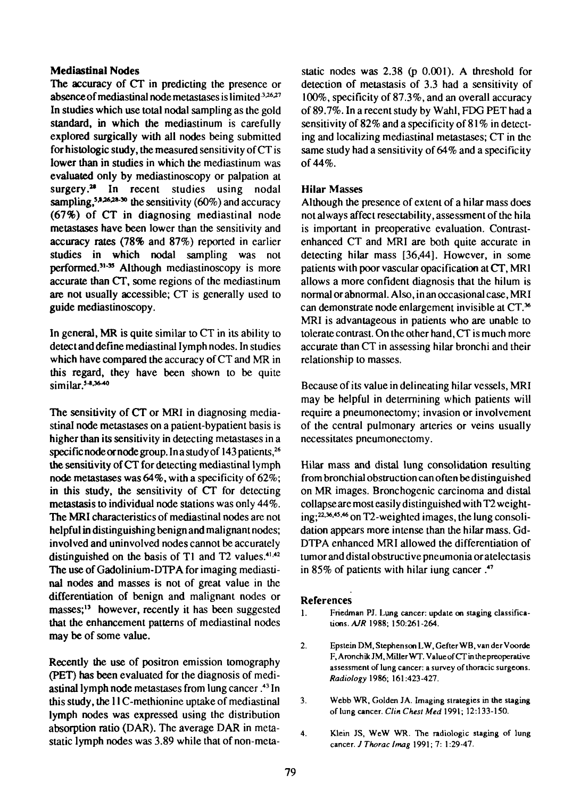### **Mediastinal Nodes**

The accuracy of CT in predicting the presence or absence of mediastinal node metastases is limited  $3.26,27$ In studies which use total nodal sampling as the gold standard, in which the mediastinum is carefully explored surgically with all nodes being submitted for histologic study, the measured sensitivity of CT is lower **than** in studies in which the mediastinum was **evaluated** only by mediastinoscopy or palpation at surgery.<sup>28</sup> In recent studies using nodal sampling,<sup>5,8,26,28-30</sup> the sensitivity  $(60\%)$  and accuracy (67%) of CT in diagnosing mediastinal node metastases have been lower than the sensitivity and accuracy rates (78% and 87%) reported in earlier studies in which nodal sampling was not performed.<sup>31-35</sup> Although mediastinoscopy is more accurate than CT, some regions of the mediastinum are not usually accessible; CT is generally used to guide mediastinoscopy.

In general, MR is quite similar to CT in its ability to detect and define mediastinal lymph nodes. In studies which have compared the accuracy of CT and MR in this regard, they have been shown to be quite similar.<sup>5-8,36-40</sup>

The sensitivity of CT or MRI in diagnosing mediastinal node metastases on a patient-bypatient basis is higher than its sensitivity in detecting metastases in a specific node or node group. In a study of  $143$  patients,<sup>26</sup> the sensitivity of CT for detecting mediastinal lymph node metastases was 64%, with a specificity of 62%; in this study, the sensitivity of CT for detecting metastasis to individual node stations was only 44%. The MRI characteristics of mediastinal nodes are not helpful in distinguishing benign and malignant nodes; involved and uninvolved nodes cannot be accurately distinguished on the basis of T1 and T2 values. $41,42$ The use of Gadolinium-DTPA for imaging mediastinal nodes and masses is not of great value in the differentiation of benign and malignant nodes or masses;<sup>13</sup> however, recently it has been suggested that the enhancement patterns of mediastinal nodes may be of some value.

Recently the use of positron emission tomography (PET) has been evaluated for the diagnosis of mediastinal lymph node metastases from lung cancer.<sup>43</sup> In this study, the 11 C-methionine uptake of mediastinal lymph nodes was expressed using the distribution absorption ratio (DAR). The average DAR in metastatic lymph nodes was 3.89 while that of non-metastatic nodes was 2.38 (p 0.001). A threshold for detection of metastasis of 3.3 had a sensitivity of 100%, specificity of 87.3%, and an overall accuracy of 89.7%. In a recent study by Wahl, FDG PET had a sensitivity of 82% and a specificity of 81% in detecting and localizing mediastinal metastases; CT in the same study had a sensitivity of 64% and a specificity of 44%.

## **Hilar** Masses

Although the presence of extent of a hilar mass does not always affect resectability, assessment of the hila is important in preoperative evaluation. Contrastenhanced CT and MRI are both quite accurate in detecting hilar mass [36,44]. However, in some patients with poor vascular opacification at CT, MR1 allows a more confident diagnosis that the hilum is normal or abnormal. Also, in an occasional case, MRI can demonstrate node enlargement invisible at CT.<sup>36</sup> MRI is advantageous in patients who are unable to tolerate contrast. On the other hand, CT is much more accurate than CT in assessing hilar bronchi and their relationship to masses.

Because of its value in delineating hilar vessels, MRI may be helpful in determining which patients will require a pneumonectomy; invasion or involvement of the central pulmonary arteries or veins usually necessitates pneumonectomy.

Hilar mass and distal lung consolidation resulting from bronchial obstruction can often be distinguished on MR images. Bronchogenic carcinoma and distal collapse are most easily distinguished with T2 weight $ing: <sup>22,36,45,46</sup>$  on T2-weighted images, the lung consolidation appears more intense than the hilar mass. Gd-DTPA enhanced MRI allowed the differentiation of tumor and distal obstructive pneumonia or atelectasis in 85% of patients with hilar iung cancer .<sup>47</sup>

### References

- 1. Friedman PJ. Lung cancer: update on staging classifications. AJR 1988; 150:261-264.
- 2. Epstein DM,StephensonLW,GefterWB,vanderVoorde F.AronchikJM, Miller WT. Value of CT in the preoperative assessment of lung cancer: a survey of thoracic surgeons. *Radiology* 1986; 161:423-427.
- 3. Webb WR, Golden JA. Imaging strategies in the staging of lung cancer. *Clin Chest Med* 1991; 12:133-150.
- 4. Klein JS, WeW WR. The radiologic staging of lung cancer. *J Thorac Imag* 1991; 7: 1:29-47.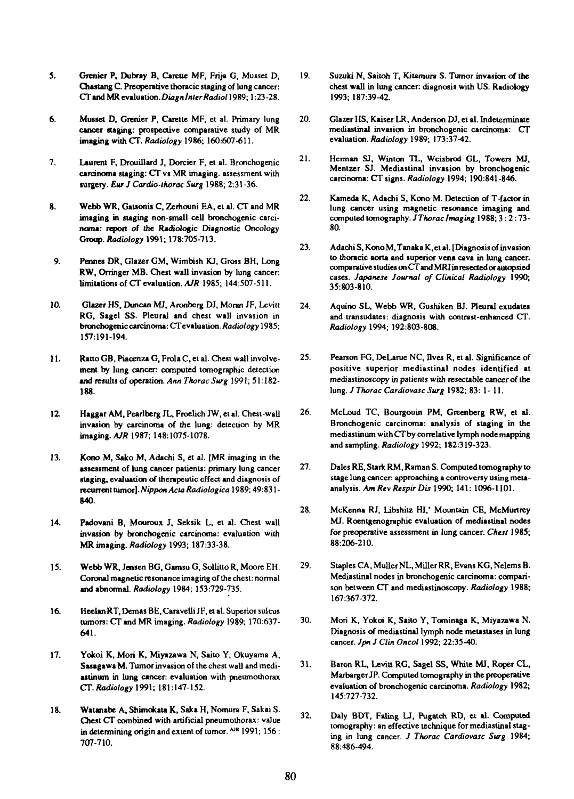- **5. Grenier P, Dubray B, Careite MF, Frija G, Musset D, Chastang C. Preoperative thoracic staging of lung cancer:** *CTandMRe\\*\\itkUor\.DuignlnterRadiol* **1989; 1:23-28.**
- **6. Musset D, Grenier P, Careite MF, et al. Primary lung cancer staging', prospective comparative study of MR imaging with CT.** *Radiology* **1986; 160:607-611.**
- **7. Laurent F, Drouillard J, Dorcier F, et al. Bronchogenic carcinoma staging: CT vs MR imaging, assessment with surgery.** *Eur JCardio-lhorac Surg* **1988; 2:31-36.**
- **8. Webb WR, Gatsonis C, Zemouni EA, et al. CT and MR imaging in staging non-small cell bronchogenic carcinoma: report** *of* **the Radiologic Diagnostic Oncology Group.** *Radiology* **1991; 178:705-713.**
- **9. Pennes DR, Glazer GM, Wimbish KJ, Gross BH, Long RW, Orringer MB. Chest wall invasion by lung cancer: limitations of CT evaluation.** *AJR* **1985; 144:507-511.**
- **10. Glazer HS, Duncan MJ, Aronberg DJ, Moran JF, Levitt RG, Sagel SS. Pleural and chest wall invasion in** bronchogenic carcinoma: CT evaluation. Radiology 1985; **157:191-194.**
- **11. Ratto GB, Piacenza G, Frola C, et al. Chest wall involvement by lung cancer: computed lomographic detection and results of operation.** *Ann Thorac Surg* **1991; 51:182- 188.**
- **12. Haggar AM. Pearlberg JL, Froelich JW, et al. Chest-wall invasion by carcinoma of the lung: detection by MR imaging.** *AJR* **1987; 148:1075-1078.**
- 13. **Kono M, Sako M, Adachi S, et al. [MR imaging in the assessment of lung cancer patients: primary lung cancer staging, evaluation of therapeutic effect and diagnosis of recurrent tumor].** *Nippon Acta Radiologica* **1989; 49:831 - 840.**
- **14. Padovani B, Mouroux J, Seksik L, et al. Chest wall invasion by bronchogenic carcinoma: evaluation with MR imaging.** *Radiology* **1993; 187:33-38.**
- **15. Webb WR, Jensen BG, Gamsu G, Sollitlo R, Moore EH. Coronal magnetic resonance imaging of the chest: normal and abnormal.** *Radiology* **1984; 153:729-735.**
- **16. Heelan RT, Demas BE, Caraveili JF, et al. Superior sulcus tumors: CTand MR imaging.** *Radiology* **1989; 170:637- 641.**
- **17. Yokoi K, Mori K, Miyazawa N, Saito Y, Okuyama A, Sasagawa M. Tumor invasion of the chest wall and mediastinum in lung cancer: evaluation with pneumoihorax CT.** *Radiology* **1991; 181:147-152.**
- **18. Watanabe A, Shimokata K, Saka H, Nomura F, Sakai S. Chest CT combined with artificial pneumoihorax: value in determining origin and extent of tumor.** <sup>AJR</sup> 1991; 156: **707-710.**
- **19. Suzuki N, Saitoh T, Kiumura S. Tumor invasion of the chest wall in lung cancer: diagnosis with US. Radiology 1993; 187:39-42.**
- **20. Glazer HS, Kaiser LR, Anderson DJ, et al. Indeterminate mediastinal invasion in bronchogenic carcinoma: CT evaluation.** *Radiology* **1989; 173:37-42.**
- **21. Herman SJ, Winton TL, Weisbrod GL, Towers MJ, Mentzer SJ. Mediastinal invasion by bronchogenic carcinoma: CT signs.** *Radiology* **1994; 190:841-846.**
- **22. Kameda K, Adachi S, Kono M. Detection of T-factor in lung cancer using magnetic resonance imaging and computed tomography.** *J Thorac Imaging* **1988; 3 :2:73- 80.**
- **23. Adachi S, Kono M, Tanaka K, et al. [Diagnosis of invasion to thoracic aorta and superior vena cava in lung cancer, comparative studies on CTand MRI in resected or autopsied cases.** *Japanese Journal of Clinical Radiology* **1990; 35:803-810.**
- **24. Aquino SL, Webb WR, Gushiken BJ. Pleural exudates and transudates: diagnosis with contrast-enhanced CT.** *Radiology* **1994; 192:803-808.**
- **25. Pearson FG, DeLarue NC, lives R, et al. Significance of positive superior mediastinal nodes identified at mediastinoscopy in patients with resectable cancer of the lung.** *J Thorac Cardiovasc Surg* **1982; 83: 1 - 11.**
- **26. McLoud TC, Bourgouin PM, Greenberg RW, et al. Bronchogenic carcinoma: analysis of staging in the mediastinum with CT by correlative lymph node mapping and sampling.** *Radiology* **1992; 182:319-323.**
- **27. Dales RE, Stark RM, Raman S. Computed tomography to stage lung cancer: approaching a controversy using melaanalysis.** *Am Rev Respir Dis* **1990; 141: 1096-1101.**
- **28. McKenna RJ, Libshilz HI,' Mountain CE, McMurtrey MJ. Roenlgenographic evaluation of mediastinal nodes for preoperative assessment in lung cancer.** *Chest* **1985; 88:206-210.**
- **29. Staples CA, MullerNL, Miller RR, Evans KG, Nelems B. Mediastinal nodes in bronchogenic carcinoma: comparison between CT and mediastinoscopy.** *Radiology* **1988; 167:367-372.**
- **30. Mori K, Yokoi K, Sailo Y, Tominaga K, Miyazawa N.** Diagnosis of mediastinal lymph node metastases in lung **cancer.** *Jpn J Clin Oncol* **1992; 22:35-40.**
- **31. Baron RL, Levitt RG, Sagel SS, White MJ, Roper CL, Marbarger JP. Computed tomography in the preoperative evaluation of bronchogenic carcinoma.** *Radiology* **1982; 145:727-732.**
- **32. Daly BDT, Faling LJ, Pugatch RD, el al. Computed tomography: an effective technique for mediastinal staging in lung cancer. /** *Thorac Cardiovasc Surg* **1984; 88:486-494.**